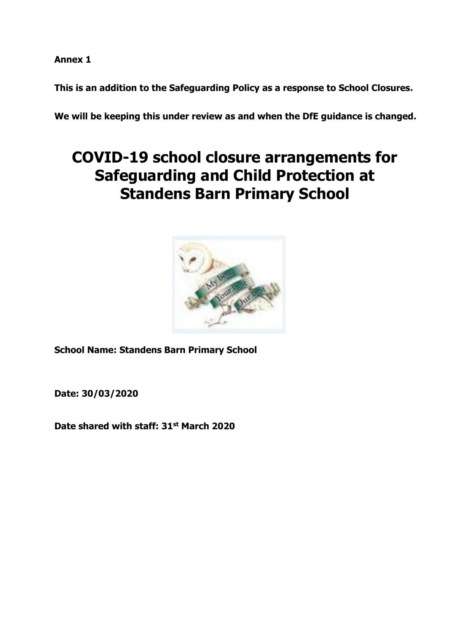**Annex 1**

**This is an addition to the Safeguarding Policy as a response to School Closures.**

**We will be keeping this under review as and when the DfE guidance is changed.**

# **COVID-19 school closure arrangements for Safeguarding and Child Protection at Standens Barn Primary School**



**School Name: Standens Barn Primary School**

**Date: 30/03/2020**

**Date shared with staff: 31st March 2020**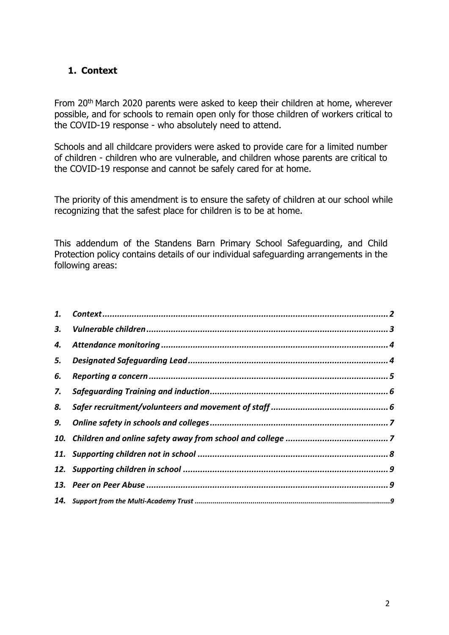# <span id="page-1-0"></span>**1. Context**

From 20th March 2020 parents were asked to keep their children at home, wherever possible, and for schools to remain open only for those children of workers critical to the COVID-19 response - who absolutely need to attend.

Schools and all childcare providers were asked to provide care for a limited number of children - children who are vulnerable, and children whose parents are critical to the COVID-19 response and cannot be safely cared for at home.

The priority of this amendment is to ensure the safety of children at our school while recognizing that the safest place for children is to be at home.

This addendum of the Standens Barn Primary School Safeguarding, and Child Protection policy contains details of our individual safeguarding arrangements in the following areas:

| 5. |  |
|----|--|
| 6. |  |
| 7. |  |
| 8. |  |
|    |  |
|    |  |
|    |  |
|    |  |
|    |  |
|    |  |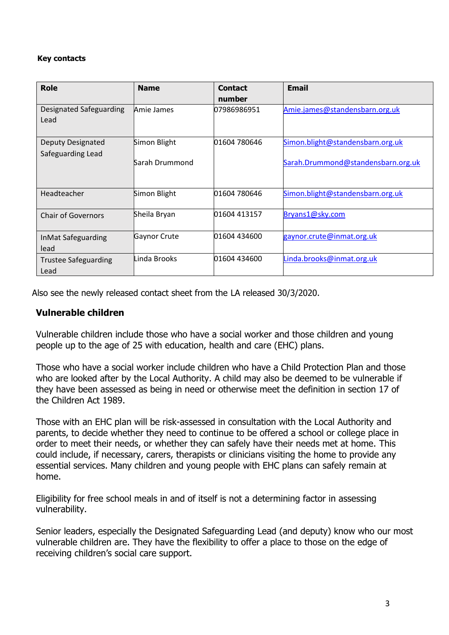#### **Key contacts**

| <b>Role</b>                         | <b>Name</b>    | <b>Contact</b><br>number | <b>Email</b>                       |
|-------------------------------------|----------------|--------------------------|------------------------------------|
| Designated Safeguarding<br>Lead     | Amie James     | 07986986951              | Amie.james@standensbarn.org.uk     |
| <b>Deputy Designated</b>            | Simon Blight   | 01604 780646             | Simon.blight@standensbarn.org.uk   |
| Safeguarding Lead                   | Sarah Drummond |                          | Sarah.Drummond@standensbarn.org.uk |
| Headteacher                         | Simon Blight   | 01604 780646             | Simon.blight@standensbarn.org.uk   |
| <b>Chair of Governors</b>           | Sheila Bryan   | 01604 413157             | Bryans1@sky.com                    |
| InMat Safeguarding<br>lead          | Gaynor Crute   | 01604 434600             | gaynor.crute@inmat.org.uk          |
| <b>Trustee Safeguarding</b><br>Lead | Linda Brooks   | 01604 434600             | Linda.brooks@inmat.org.uk          |

Also see the newly released contact sheet from the LA released 30/3/2020.

### **Vulnerable children**

Vulnerable children include those who have a social worker and those children and young people up to the age of 25 with education, health and care (EHC) plans.

Those who have a social worker include children who have a Child Protection Plan and those who are looked after by the Local Authority. A child may also be deemed to be vulnerable if they have been assessed as being in need or otherwise meet the definition in section 17 of the Children Act 1989.

Those with an EHC plan will be risk-assessed in consultation with the Local Authority and parents, to decide whether they need to continue to be offered a school or college place in order to meet their needs, or whether they can safely have their needs met at home. This could include, if necessary, carers, therapists or clinicians visiting the home to provide any essential services. Many children and young people with EHC plans can safely remain at home.

Eligibility for free school meals in and of itself is not a determining factor in assessing vulnerability.

Senior leaders, especially the Designated Safeguarding Lead (and deputy) know who our most vulnerable children are. They have the flexibility to offer a place to those on the edge of receiving children's social care support.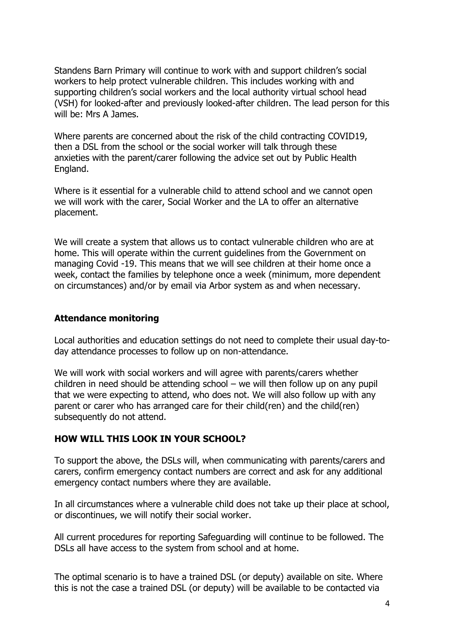Standens Barn Primary will continue to work with and support children's social workers to help protect vulnerable children. This includes working with and supporting children's social workers and the local authority virtual school head (VSH) for looked-after and previously looked-after children. The lead person for this will be: Mrs A James.

Where parents are concerned about the risk of the child contracting COVID19, then a DSL from the school or the social worker will talk through these anxieties with the parent/carer following the advice set out by Public Health England.

Where is it essential for a vulnerable child to attend school and we cannot open we will work with the carer, Social Worker and the LA to offer an alternative placement.

We will create a system that allows us to contact vulnerable children who are at home. This will operate within the current guidelines from the Government on managing Covid -19. This means that we will see children at their home once a week, contact the families by telephone once a week (minimum, more dependent on circumstances) and/or by email via Arbor system as and when necessary.

#### **Attendance monitoring**

Local authorities and education settings do not need to complete their usual day-today attendance processes to follow up on non-attendance.

We will work with social workers and will agree with parents/carers whether children in need should be attending school  $-$  we will then follow up on any pupil that we were expecting to attend, who does not. We will also follow up with any parent or carer who has arranged care for their child(ren) and the child(ren) subsequently do not attend.

#### **HOW WILL THIS LOOK IN YOUR SCHOOL?**

To support the above, the DSLs will, when communicating with parents/carers and carers, confirm emergency contact numbers are correct and ask for any additional emergency contact numbers where they are available.

In all circumstances where a vulnerable child does not take up their place at school, or discontinues, we will notify their social worker.

All current procedures for reporting Safeguarding will continue to be followed. The DSLs all have access to the system from school and at home.

The optimal scenario is to have a trained DSL (or deputy) available on site. Where this is not the case a trained DSL (or deputy) will be available to be contacted via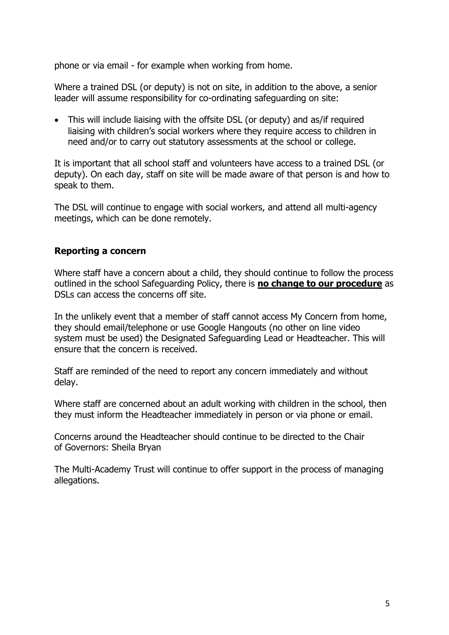phone or via email - for example when working from home.

Where a trained DSL (or deputy) is not on site, in addition to the above, a senior leader will assume responsibility for co-ordinating safeguarding on site:

• This will include liaising with the offsite DSL (or deputy) and as/if required liaising with children's social workers where they require access to children in need and/or to carry out statutory assessments at the school or college.

It is important that all school staff and volunteers have access to a trained DSL (or deputy). On each day, staff on site will be made aware of that person is and how to speak to them.

The DSL will continue to engage with social workers, and attend all multi-agency meetings, which can be done remotely.

#### **Reporting a concern**

Where staff have a concern about a child, they should continue to follow the process outlined in the school Safeguarding Policy, there is **no change to our procedure** as DSLs can access the concerns off site.

In the unlikely event that a member of staff cannot access My Concern from home, they should email/telephone or use Google Hangouts (no other on line video system must be used) the Designated Safeguarding Lead or Headteacher. This will ensure that the concern is received.

Staff are reminded of the need to report any concern immediately and without delay.

Where staff are concerned about an adult working with children in the school, then they must inform the Headteacher immediately in person or via phone or email.

Concerns around the Headteacher should continue to be directed to the Chair of Governors: Sheila Bryan

The Multi-Academy Trust will continue to offer support in the process of managing allegations.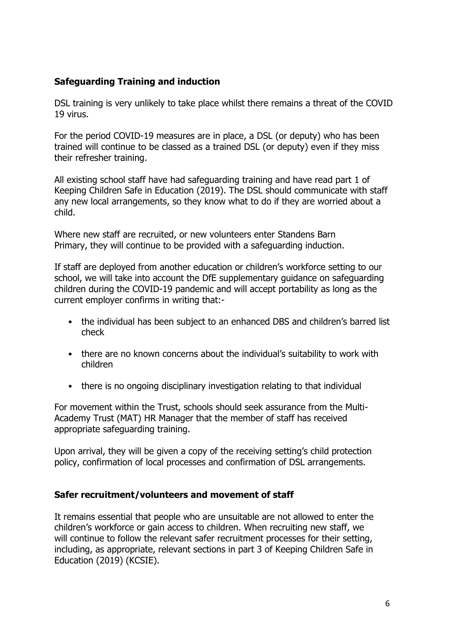# **Safeguarding Training and induction**

DSL training is very unlikely to take place whilst there remains a threat of the COVID 19 virus.

For the period COVID-19 measures are in place, a DSL (or deputy) who has been trained will continue to be classed as a trained DSL (or deputy) even if they miss their refresher training.

All existing school staff have had safeguarding training and have read part 1 of Keeping Children Safe in Education (2019). The DSL should communicate with staff any new local arrangements, so they know what to do if they are worried about a child.

Where new staff are recruited, or new volunteers enter Standens Barn Primary, they will continue to be provided with a safeguarding induction.

If staff are deployed from another education or children's workforce setting to our school, we will take into account the DfE supplementary guidance on safeguarding children during the COVID-19 pandemic and will accept portability as long as the current employer confirms in writing that:-

- the individual has been subject to an enhanced DBS and children's barred list check
- there are no known concerns about the individual's suitability to work with children
- there is no ongoing disciplinary investigation relating to that individual

For movement within the Trust, schools should seek assurance from the Multi-Academy Trust (MAT) HR Manager that the member of staff has received appropriate safeguarding training.

Upon arrival, they will be given a copy of the receiving setting's child protection policy, confirmation of local processes and confirmation of DSL arrangements.

#### **Safer recruitment/volunteers and movement of staff**

It remains essential that people who are unsuitable are not allowed to enter the children's workforce or gain access to children. When recruiting new staff, we will continue to follow the relevant safer recruitment processes for their setting, including, as appropriate, relevant sections in part 3 of Keeping Children Safe in Education (2019) (KCSIE).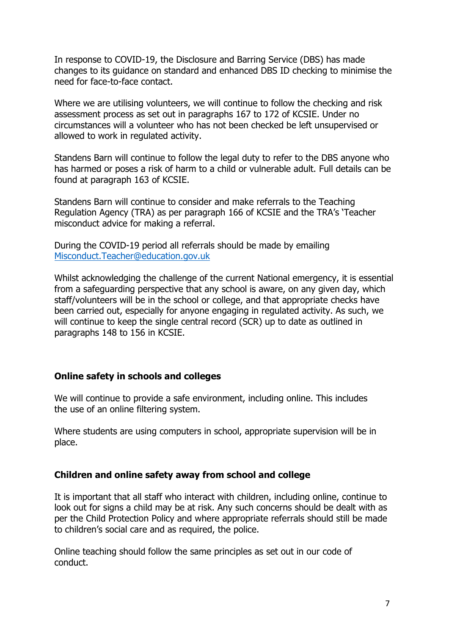In response to COVID-19, the Disclosure and Barring Service (DBS) has made changes to its guidance on standard and enhanced DBS ID checking to minimise the need for face-to-face contact.

Where we are utilising volunteers, we will continue to follow the checking and risk assessment process as set out in paragraphs 167 to 172 of KCSIE. Under no circumstances will a volunteer who has not been checked be left unsupervised or allowed to work in regulated activity.

Standens Barn will continue to follow the legal duty to refer to the DBS anyone who has harmed or poses a risk of harm to a child or vulnerable adult. Full details can be found at paragraph 163 of KCSIE.

Standens Barn will continue to consider and make referrals to the Teaching Regulation Agency (TRA) as per paragraph 166 of KCSIE and the TRA's 'Teacher misconduct advice for making a referral.

During the COVID-19 period all referrals should be made by emailing [Misconduct.Teacher@education.gov.uk](mailto:Misconduct.Teacher@education.gov.uk)

Whilst acknowledging the challenge of the current National emergency, it is essential from a safeguarding perspective that any school is aware, on any given day, which staff/volunteers will be in the school or college, and that appropriate checks have been carried out, especially for anyone engaging in regulated activity. As such, we will continue to keep the single central record (SCR) up to date as outlined in paragraphs 148 to 156 in KCSIE.

#### **Online safety in schools and colleges**

We will continue to provide a safe environment, including online. This includes the use of an online filtering system.

Where students are using computers in school, appropriate supervision will be in place.

#### **Children and online safety away from school and college**

It is important that all staff who interact with children, including online, continue to look out for signs a child may be at risk. Any such concerns should be dealt with as per the Child Protection Policy and where appropriate referrals should still be made to children's social care and as required, the police.

Online teaching should follow the same principles as set out in our code of conduct.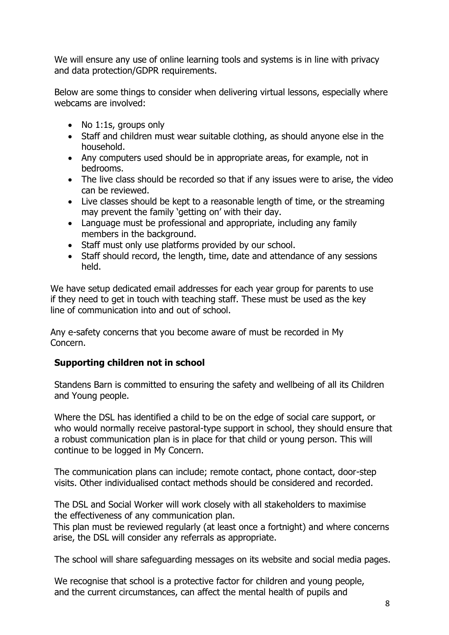We will ensure any use of online learning tools and systems is in line with privacy and data protection/GDPR requirements.

Below are some things to consider when delivering virtual lessons, especially where webcams are involved:

- No 1:1s, groups only
- Staff and children must wear suitable clothing, as should anyone else in the household.
- Any computers used should be in appropriate areas, for example, not in bedrooms.
- The live class should be recorded so that if any issues were to arise, the video can be reviewed.
- Live classes should be kept to a reasonable length of time, or the streaming may prevent the family 'getting on' with their day.
- Language must be professional and appropriate, including any family members in the background.
- Staff must only use platforms provided by our school.
- Staff should record, the length, time, date and attendance of any sessions held.

We have setup dedicated email addresses for each year group for parents to use if they need to get in touch with teaching staff. These must be used as the key line of communication into and out of school.

Any e-safety concerns that you become aware of must be recorded in My Concern.

#### **Supporting children not in school**

Standens Barn is committed to ensuring the safety and wellbeing of all its Children and Young people.

Where the DSL has identified a child to be on the edge of social care support, or who would normally receive pastoral-type support in school, they should ensure that a robust communication plan is in place for that child or young person. This will continue to be logged in My Concern.

The communication plans can include; remote contact, phone contact, door-step visits. Other individualised contact methods should be considered and recorded.

The DSL and Social Worker will work closely with all stakeholders to maximise the effectiveness of any communication plan.

This plan must be reviewed regularly (at least once a fortnight) and where concerns arise, the DSL will consider any referrals as appropriate.

The school will share safeguarding messages on its website and social media pages.

We recognise that school is a protective factor for children and young people, and the current circumstances, can affect the mental health of pupils and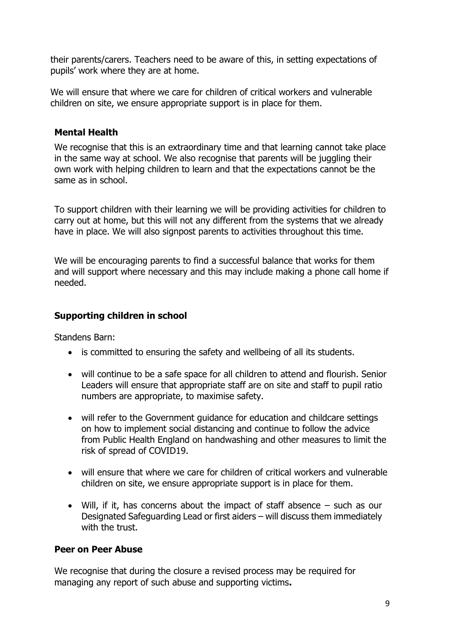their parents/carers. Teachers need to be aware of this, in setting expectations of pupils' work where they are at home.

We will ensure that where we care for children of critical workers and vulnerable children on site, we ensure appropriate support is in place for them.

# **Mental Health**

We recognise that this is an extraordinary time and that learning cannot take place in the same way at school. We also recognise that parents will be juggling their own work with helping children to learn and that the expectations cannot be the same as in school.

To support children with their learning we will be providing activities for children to carry out at home, but this will not any different from the systems that we already have in place. We will also signpost parents to activities throughout this time.

We will be encouraging parents to find a successful balance that works for them and will support where necessary and this may include making a phone call home if needed.

# **Supporting children in school**

Standens Barn:

- is committed to ensuring the safety and wellbeing of all its students.
- will continue to be a safe space for all children to attend and flourish. Senior Leaders will ensure that appropriate staff are on site and staff to pupil ratio numbers are appropriate, to maximise safety.
- will refer to the Government guidance for education and childcare settings on how to implement social distancing and continue to follow the advice from Public Health England on handwashing and other measures to limit the risk of spread of COVID19.
- will ensure that where we care for children of critical workers and vulnerable children on site, we ensure appropriate support is in place for them.
- Will, if it, has concerns about the impact of staff absence such as our Designated Safeguarding Lead or first aiders – will discuss them immediately with the trust.

#### **Peer on Peer Abuse**

We recognise that during the closure a revised process may be required for managing any report of such abuse and supporting victims**.**